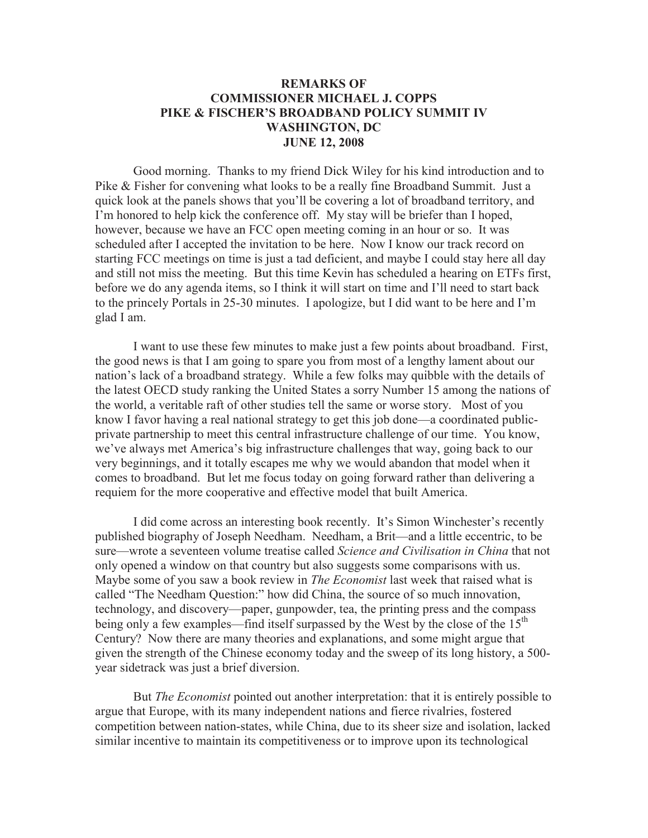## **REMARKS OF COMMISSIONER MICHAEL J. COPPS PIKE & FISCHER'S BROADBAND POLICY SUMMIT IV WASHINGTON, DC JUNE 12, 2008**

Good morning. Thanks to my friend Dick Wiley for his kind introduction and to Pike & Fisher for convening what looks to be a really fine Broadband Summit. Just a quick look at the panels shows that you'll be covering a lot of broadband territory, and I'm honored to help kick the conference off. My stay will be briefer than I hoped, however, because we have an FCC open meeting coming in an hour or so. It was scheduled after I accepted the invitation to be here. Now I know our track record on starting FCC meetings on time is just a tad deficient, and maybe I could stay here all day and still not miss the meeting. But this time Kevin has scheduled a hearing on ETFs first, before we do any agenda items, so I think it will start on time and I'll need to start back to the princely Portals in 25-30 minutes. I apologize, but I did want to be here and I'm glad I am.

I want to use these few minutes to make just a few points about broadband. First, the good news is that I am going to spare you from most of a lengthy lament about our nation's lack of a broadband strategy. While a few folks may quibble with the details of the latest OECD study ranking the United States a sorry Number 15 among the nations of the world, a veritable raft of other studies tell the same or worse story. Most of you know I favor having a real national strategy to get this job done—a coordinated publicprivate partnership to meet this central infrastructure challenge of our time. You know, we've always met America's big infrastructure challenges that way, going back to our very beginnings, and it totally escapes me why we would abandon that model when it comes to broadband. But let me focus today on going forward rather than delivering a requiem for the more cooperative and effective model that built America.

I did come across an interesting book recently. It's Simon Winchester's recently published biography of Joseph Needham. Needham, a Brit—and a little eccentric, to be sure—wrote a seventeen volume treatise called *Science and Civilisation in China* that not only opened a window on that country but also suggests some comparisons with us. Maybe some of you saw a book review in *The Economist* last week that raised what is called "The Needham Question:" how did China, the source of so much innovation, technology, and discovery—paper, gunpowder, tea, the printing press and the compass being only a few examples—find itself surpassed by the West by the close of the  $15<sup>th</sup>$ Century? Now there are many theories and explanations, and some might argue that given the strength of the Chinese economy today and the sweep of its long history, a 500 year sidetrack was just a brief diversion.

But *The Economist* pointed out another interpretation: that it is entirely possible to argue that Europe, with its many independent nations and fierce rivalries, fostered competition between nation-states, while China, due to its sheer size and isolation, lacked similar incentive to maintain its competitiveness or to improve upon its technological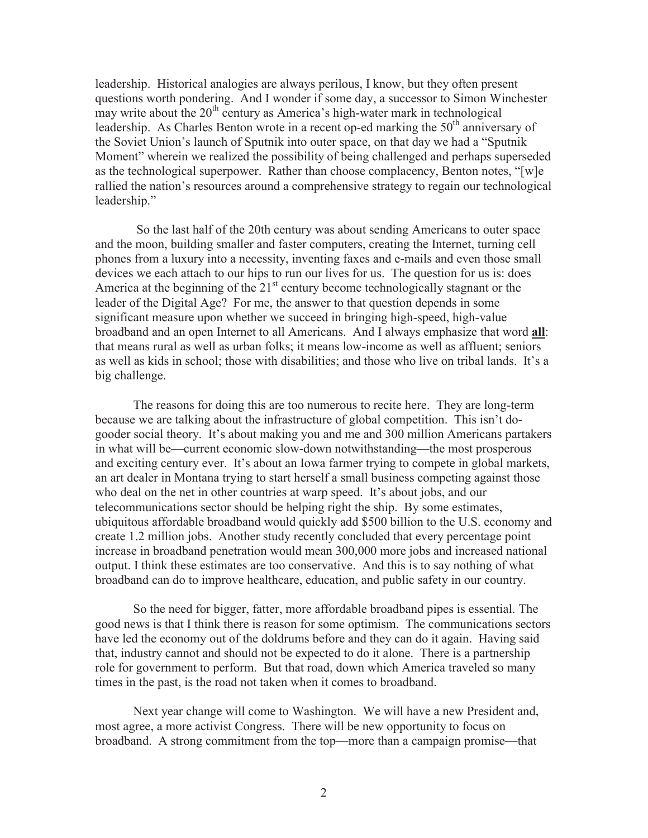leadership. Historical analogies are always perilous, I know, but they often present questions worth pondering. And I wonder if some day, a successor to Simon Winchester may write about the  $20<sup>th</sup>$  century as America's high-water mark in technological leadership. As Charles Benton wrote in a recent op-ed marking the  $50<sup>th</sup>$  anniversary of the Soviet Union's launch of Sputnik into outer space, on that day we had a "Sputnik Moment" wherein we realized the possibility of being challenged and perhaps superseded as the technological superpower. Rather than choose complacency, Benton notes, "[w]e rallied the nation's resources around a comprehensive strategy to regain our technological leadership."

So the last half of the 20th century was about sending Americans to outer space and the moon, building smaller and faster computers, creating the Internet, turning cell phones from a luxury into a necessity, inventing faxes and e-mails and even those small devices we each attach to our hips to run our lives for us. The question for us is: does America at the beginning of the  $21<sup>st</sup>$  century become technologically stagnant or the leader of the Digital Age? For me, the answer to that question depends in some significant measure upon whether we succeed in bringing high-speed, high-value broadband and an open Internet to all Americans. And I always emphasize that word **all**: that means rural as well as urban folks; it means low-income as well as affluent; seniors as well as kids in school; those with disabilities; and those who live on tribal lands. It's a big challenge.

The reasons for doing this are too numerous to recite here. They are long-term because we are talking about the infrastructure of global competition. This isn't dogooder social theory. It's about making you and me and 300 million Americans partakers in what will be—current economic slow-down notwithstanding—the most prosperous and exciting century ever. It's about an Iowa farmer trying to compete in global markets, an art dealer in Montana trying to start herself a small business competing against those who deal on the net in other countries at warp speed. It's about jobs, and our telecommunications sector should be helping right the ship. By some estimates, ubiquitous affordable broadband would quickly add \$500 billion to the U.S. economy and create 1.2 million jobs. Another study recently concluded that every percentage point increase in broadband penetration would mean 300,000 more jobs and increased national output. I think these estimates are too conservative. And this is to say nothing of what broadband can do to improve healthcare, education, and public safety in our country.

So the need for bigger, fatter, more affordable broadband pipes is essential. The good news is that I think there is reason for some optimism. The communications sectors have led the economy out of the doldrums before and they can do it again. Having said that, industry cannot and should not be expected to do it alone. There is a partnership role for government to perform. But that road, down which America traveled so many times in the past, is the road not taken when it comes to broadband.

Next year change will come to Washington. We will have a new President and, most agree, a more activist Congress. There will be new opportunity to focus on broadband. A strong commitment from the top—more than a campaign promise—that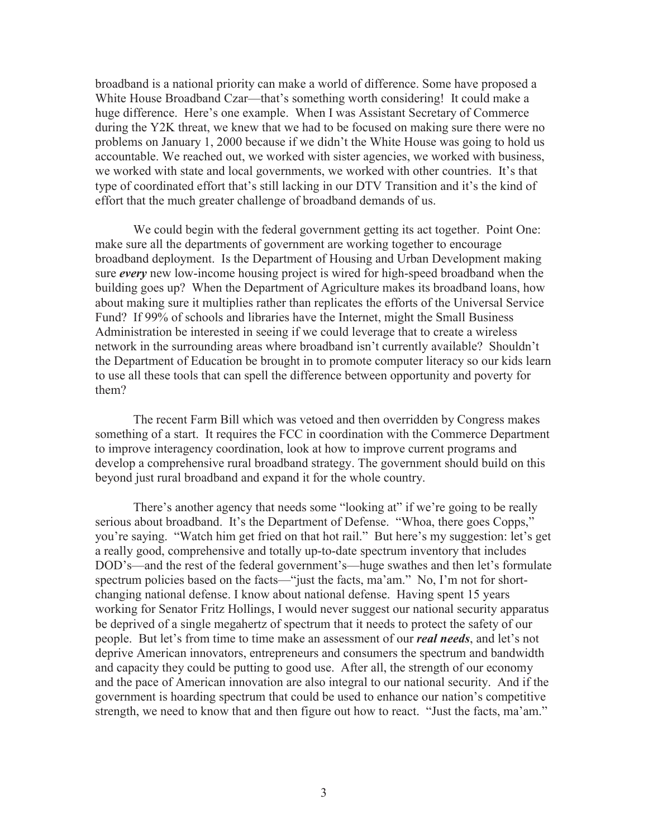broadband is a national priority can make a world of difference. Some have proposed a White House Broadband Czar—that's something worth considering! It could make a huge difference. Here's one example. When I was Assistant Secretary of Commerce during the Y2K threat, we knew that we had to be focused on making sure there were no problems on January 1, 2000 because if we didn't the White House was going to hold us accountable. We reached out, we worked with sister agencies, we worked with business, we worked with state and local governments, we worked with other countries. It's that type of coordinated effort that's still lacking in our DTV Transition and it's the kind of effort that the much greater challenge of broadband demands of us.

We could begin with the federal government getting its act together. Point One: make sure all the departments of government are working together to encourage broadband deployment. Is the Department of Housing and Urban Development making sure *every* new low-income housing project is wired for high-speed broadband when the building goes up? When the Department of Agriculture makes its broadband loans, how about making sure it multiplies rather than replicates the efforts of the Universal Service Fund? If 99% of schools and libraries have the Internet, might the Small Business Administration be interested in seeing if we could leverage that to create a wireless network in the surrounding areas where broadband isn't currently available? Shouldn't the Department of Education be brought in to promote computer literacy so our kids learn to use all these tools that can spell the difference between opportunity and poverty for them?

The recent Farm Bill which was vetoed and then overridden by Congress makes something of a start. It requires the FCC in coordination with the Commerce Department to improve interagency coordination, look at how to improve current programs and develop a comprehensive rural broadband strategy. The government should build on this beyond just rural broadband and expand it for the whole country.

There's another agency that needs some "looking at" if we're going to be really serious about broadband. It's the Department of Defense. "Whoa, there goes Copps," you're saying. "Watch him get fried on that hot rail." But here's my suggestion: let's get a really good, comprehensive and totally up-to-date spectrum inventory that includes DOD's—and the rest of the federal government's—huge swathes and then let's formulate spectrum policies based on the facts—"just the facts, ma'am." No, I'm not for shortchanging national defense. I know about national defense. Having spent 15 years working for Senator Fritz Hollings, I would never suggest our national security apparatus be deprived of a single megahertz of spectrum that it needs to protect the safety of our people. But let's from time to time make an assessment of our *real needs*, and let's not deprive American innovators, entrepreneurs and consumers the spectrum and bandwidth and capacity they could be putting to good use. After all, the strength of our economy and the pace of American innovation are also integral to our national security. And if the government is hoarding spectrum that could be used to enhance our nation's competitive strength, we need to know that and then figure out how to react. "Just the facts, ma'am."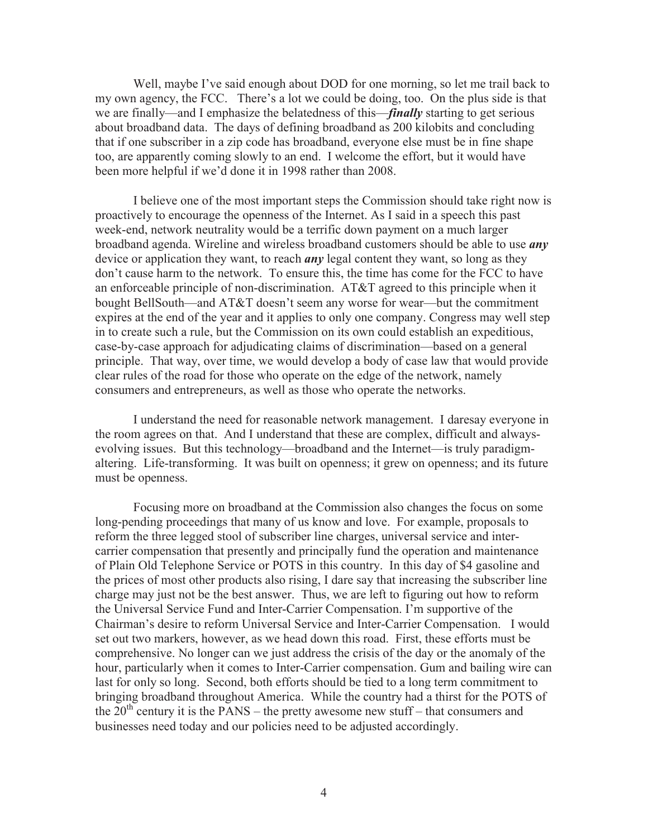Well, maybe I've said enough about DOD for one morning, so let me trail back to my own agency, the FCC. There's a lot we could be doing, too. On the plus side is that we are finally—and I emphasize the belatedness of this—*finally* starting to get serious about broadband data. The days of defining broadband as 200 kilobits and concluding that if one subscriber in a zip code has broadband, everyone else must be in fine shape too, are apparently coming slowly to an end. I welcome the effort, but it would have been more helpful if we'd done it in 1998 rather than 2008.

I believe one of the most important steps the Commission should take right now is proactively to encourage the openness of the Internet. As I said in a speech this past week-end, network neutrality would be a terrific down payment on a much larger broadband agenda. Wireline and wireless broadband customers should be able to use *any* device or application they want, to reach *any* legal content they want, so long as they don't cause harm to the network. To ensure this, the time has come for the FCC to have an enforceable principle of non-discrimination. AT&T agreed to this principle when it bought BellSouth—and AT&T doesn't seem any worse for wear—but the commitment expires at the end of the year and it applies to only one company. Congress may well step in to create such a rule, but the Commission on its own could establish an expeditious, case-by-case approach for adjudicating claims of discrimination—based on a general principle. That way, over time, we would develop a body of case law that would provide clear rules of the road for those who operate on the edge of the network, namely consumers and entrepreneurs, as well as those who operate the networks.

I understand the need for reasonable network management. I daresay everyone in the room agrees on that. And I understand that these are complex, difficult and alwaysevolving issues. But this technology—broadband and the Internet—is truly paradigmaltering. Life-transforming. It was built on openness; it grew on openness; and its future must be openness.

Focusing more on broadband at the Commission also changes the focus on some long-pending proceedings that many of us know and love. For example, proposals to reform the three legged stool of subscriber line charges, universal service and intercarrier compensation that presently and principally fund the operation and maintenance of Plain Old Telephone Service or POTS in this country. In this day of \$4 gasoline and the prices of most other products also rising, I dare say that increasing the subscriber line charge may just not be the best answer. Thus, we are left to figuring out how to reform the Universal Service Fund and Inter-Carrier Compensation. I'm supportive of the Chairman's desire to reform Universal Service and Inter-Carrier Compensation. I would set out two markers, however, as we head down this road. First, these efforts must be comprehensive. No longer can we just address the crisis of the day or the anomaly of the hour, particularly when it comes to Inter-Carrier compensation. Gum and bailing wire can last for only so long. Second, both efforts should be tied to a long term commitment to bringing broadband throughout America. While the country had a thirst for the POTS of the  $20<sup>th</sup>$  century it is the PANS – the pretty awesome new stuff – that consumers and businesses need today and our policies need to be adjusted accordingly.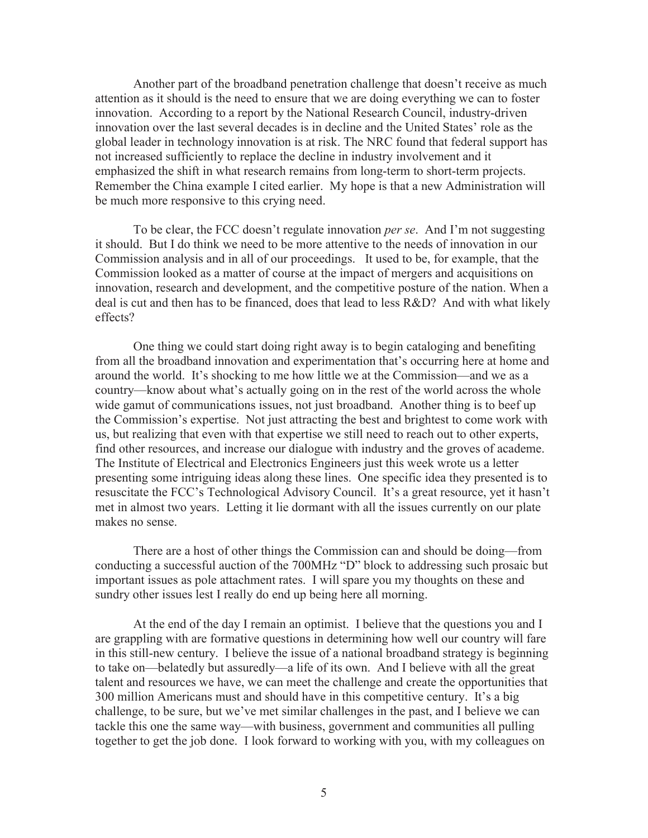Another part of the broadband penetration challenge that doesn't receive as much attention as it should is the need to ensure that we are doing everything we can to foster innovation. According to a report by the National Research Council, industry-driven innovation over the last several decades is in decline and the United States' role as the global leader in technology innovation is at risk. The NRC found that federal support has not increased sufficiently to replace the decline in industry involvement and it emphasized the shift in what research remains from long-term to short-term projects. Remember the China example I cited earlier. My hope is that a new Administration will be much more responsive to this crying need.

To be clear, the FCC doesn't regulate innovation *per se*. And I'm not suggesting it should. But I do think we need to be more attentive to the needs of innovation in our Commission analysis and in all of our proceedings. It used to be, for example, that the Commission looked as a matter of course at the impact of mergers and acquisitions on innovation, research and development, and the competitive posture of the nation. When a deal is cut and then has to be financed, does that lead to less R&D? And with what likely effects?

One thing we could start doing right away is to begin cataloging and benefiting from all the broadband innovation and experimentation that's occurring here at home and around the world. It's shocking to me how little we at the Commission—and we as a country—know about what's actually going on in the rest of the world across the whole wide gamut of communications issues, not just broadband. Another thing is to beef up the Commission's expertise. Not just attracting the best and brightest to come work with us, but realizing that even with that expertise we still need to reach out to other experts, find other resources, and increase our dialogue with industry and the groves of academe. The Institute of Electrical and Electronics Engineers just this week wrote us a letter presenting some intriguing ideas along these lines. One specific idea they presented is to resuscitate the FCC's Technological Advisory Council. It's a great resource, yet it hasn't met in almost two years. Letting it lie dormant with all the issues currently on our plate makes no sense.

There are a host of other things the Commission can and should be doing—from conducting a successful auction of the 700MHz "D" block to addressing such prosaic but important issues as pole attachment rates. I will spare you my thoughts on these and sundry other issues lest I really do end up being here all morning.

At the end of the day I remain an optimist. I believe that the questions you and I are grappling with are formative questions in determining how well our country will fare in this still-new century. I believe the issue of a national broadband strategy is beginning to take on—belatedly but assuredly—a life of its own. And I believe with all the great talent and resources we have, we can meet the challenge and create the opportunities that 300 million Americans must and should have in this competitive century. It's a big challenge, to be sure, but we've met similar challenges in the past, and I believe we can tackle this one the same way—with business, government and communities all pulling together to get the job done. I look forward to working with you, with my colleagues on